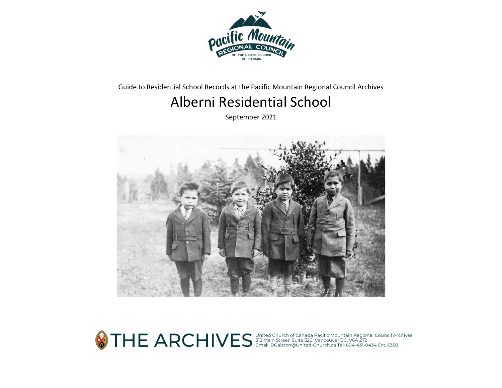

Guide to Residential School Records at the Pacific Mountain Regional Council Archives

# Alberni Residential School

September 2021



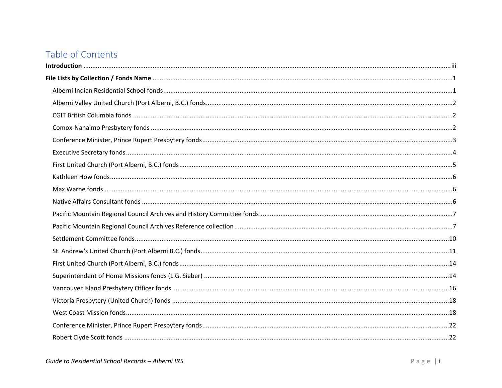# Table of Contents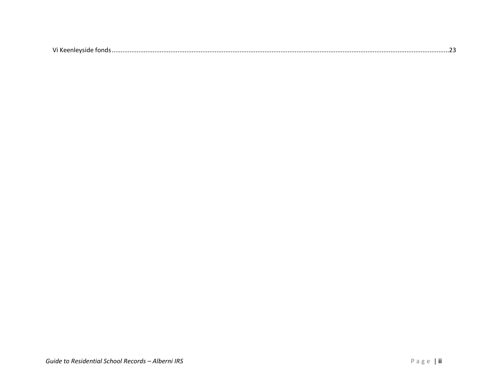|--|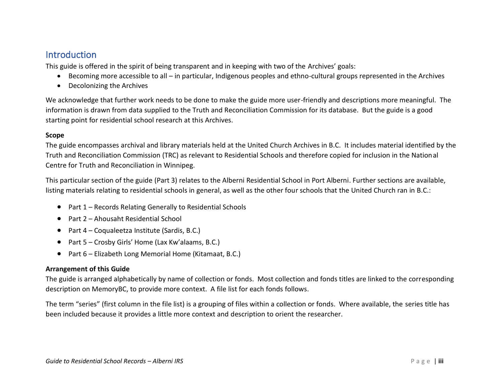# <span id="page-3-0"></span>**Introduction**

This guide is offered in the spirit of being transparent and in keeping with two of the Archives' goals:

- Becoming more accessible to all in particular, Indigenous peoples and ethno-cultural groups represented in the Archives
- Decolonizing the Archives

We acknowledge that further work needs to be done to make the guide more user-friendly and descriptions more meaningful. The information is drawn from data supplied to the Truth and Reconciliation Commission for its database. But the guide is a good starting point for residential school research at this Archives.

#### **Scope**

The guide encompasses archival and library materials held at the United Church Archives in B.C. It includes material identified by the Truth and Reconciliation Commission (TRC) as relevant to Residential Schools and therefore copied for inclusion in the National Centre for Truth and Reconciliation in Winnipeg.

This particular section of the guide (Part 3) relates to the Alberni Residential School in Port Alberni. Further sections are available, listing materials relating to residential schools in general, as well as the other four schools that the United Church ran in B.C.:

- Part 1 Records Relating Generally to Residential Schools
- Part 2 Ahousaht Residential School
- Part 4 Coqualeetza Institute (Sardis, B.C.)
- Part 5 Crosby Girls' Home (Lax Kw'alaams, B.C.)
- Part 6 Elizabeth Long Memorial Home (Kitamaat, B.C.)

#### **Arrangement of this Guide**

The guide is arranged alphabetically by name of collection or fonds. Most collection and fonds titles are linked to the corresponding description on MemoryBC, to provide more context. A file list for each fonds follows.

The term "series" (first column in the file list) is a grouping of files within a collection or fonds. Where available, the series title has been included because it provides a little more context and description to orient the researcher.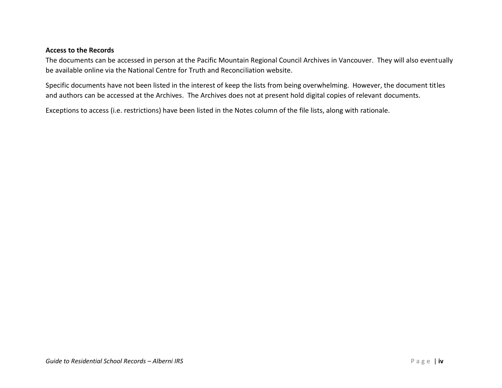#### **Access to the Records**

The documents can be accessed in person at the Pacific Mountain Regional Council Archives in Vancouver. They will also eventually be available online via the National Centre for Truth and Reconciliation website.

Specific documents have not been listed in the interest of keep the lists from being overwhelming. However, the document titles and authors can be accessed at the Archives. The Archives does not at present hold digital copies of relevant documents.

Exceptions to access (i.e. restrictions) have been listed in the Notes column of the file lists, along with rationale.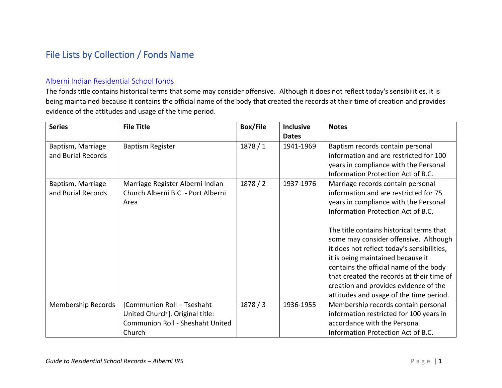# <span id="page-5-0"></span>File Lists by Collection / Fonds Name

#### <span id="page-5-1"></span>[Alberni Indian Residential School fonds](https://www.memorybc.ca/alberni-indian-residential-school-fonds)

The fonds title contains historical terms that some may consider offensive. Although it does not reflect today's sensibilities, it is being maintained because it contains the official name of the body that created the records at their time of creation and provides evidence of the attitudes and usage of the time period.

| <b>Series</b>                           | <b>File Title</b>                                                                                           | <b>Box/File</b> | <b>Inclusive</b><br><b>Dates</b> | <b>Notes</b>                                                                                                                                                                                                                                                                                                                                                                |
|-----------------------------------------|-------------------------------------------------------------------------------------------------------------|-----------------|----------------------------------|-----------------------------------------------------------------------------------------------------------------------------------------------------------------------------------------------------------------------------------------------------------------------------------------------------------------------------------------------------------------------------|
| Baptism, Marriage<br>and Burial Records | <b>Baptism Register</b>                                                                                     | 1878/1          | 1941-1969                        | Baptism records contain personal<br>information and are restricted for 100<br>years in compliance with the Personal<br>Information Protection Act of B.C.                                                                                                                                                                                                                   |
| Baptism, Marriage<br>and Burial Records | Marriage Register Alberni Indian<br>Church Alberni B.C. - Port Alberni<br>Area                              | 1878/2          | 1937-1976                        | Marriage records contain personal<br>information and are restricted for 75<br>years in compliance with the Personal<br>Information Protection Act of B.C.<br>The title contains historical terms that<br>some may consider offensive. Although<br>it does not reflect today's sensibilities,<br>it is being maintained because it<br>contains the official name of the body |
|                                         |                                                                                                             |                 |                                  | that created the records at their time of<br>creation and provides evidence of the<br>attitudes and usage of the time period.                                                                                                                                                                                                                                               |
| Membership Records                      | [Communion Roll - Tseshaht<br>United Church]. Original title:<br>Communion Roll - Sheshaht United<br>Church | 1878/3          | 1936-1955                        | Membership records contain personal<br>information restricted for 100 years in<br>accordance with the Personal<br>Information Protection Act of B.C.                                                                                                                                                                                                                        |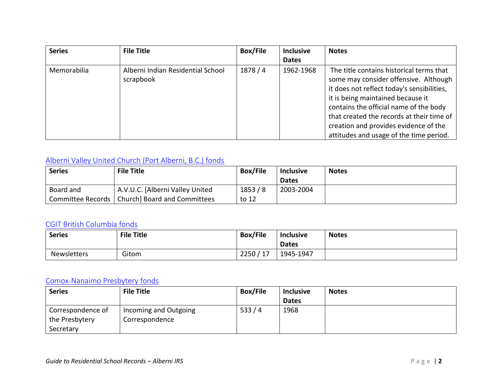| <b>Series</b> | <b>File Title</b>                              | <b>Box/File</b> | <b>Inclusive</b> | <b>Notes</b>                                                                                                                                                                                                                                                                                                                                    |
|---------------|------------------------------------------------|-----------------|------------------|-------------------------------------------------------------------------------------------------------------------------------------------------------------------------------------------------------------------------------------------------------------------------------------------------------------------------------------------------|
|               |                                                |                 | <b>Dates</b>     |                                                                                                                                                                                                                                                                                                                                                 |
| Memorabilia   | Alberni Indian Residential School<br>scrapbook | 1878 / 4        | 1962-1968        | The title contains historical terms that<br>some may consider offensive. Although<br>it does not reflect today's sensibilities,<br>it is being maintained because it<br>contains the official name of the body<br>that created the records at their time of<br>creation and provides evidence of the<br>attitudes and usage of the time period. |

# <span id="page-6-0"></span>[Alberni Valley United Church \(Port Alberni, B.C.\) fonds](https://www.memorybc.ca/alberni-valley-united-church-port-alberni-b-c-fonds)

| <b>Series</b> | <b>File Title</b>                                | <b>Box/File</b> | <b>Inclusive</b> | <b>Notes</b> |
|---------------|--------------------------------------------------|-----------------|------------------|--------------|
|               |                                                  |                 | <b>Dates</b>     |              |
| Board and     | A.V.U.C. [Alberni Valley United                  | 1853/8          | 2003-2004        |              |
|               | Committee Records   Church] Board and Committees | to 12           |                  |              |

### <span id="page-6-1"></span>[CGIT British Columbia fonds](https://www.memorybc.ca/british-columbia-provincial-board-canadian-girls-in-training-fonds)

| <b>Series</b>      | <b>File Title</b> | <b>Box/File</b>         | <b>Inclusive</b><br><b>Dates</b> | <b>Notes</b> |
|--------------------|-------------------|-------------------------|----------------------------------|--------------|
| <b>Newsletters</b> | Gitom             | 2250<br>717<br><b>L</b> | 1945-1947                        |              |

#### <span id="page-6-2"></span>[Comox-Nanaimo Presbytery fonds](https://www.memorybc.ca/comox-nanaimo-presbytery-fonds)

| <b>Series</b>     | <b>File Title</b>     | <b>Box/File</b> | <b>Inclusive</b> | <b>Notes</b> |
|-------------------|-----------------------|-----------------|------------------|--------------|
|                   |                       |                 | <b>Dates</b>     |              |
| Correspondence of | Incoming and Outgoing | 533/4           | 1968             |              |
| the Presbytery    | Correspondence        |                 |                  |              |
| Secretary         |                       |                 |                  |              |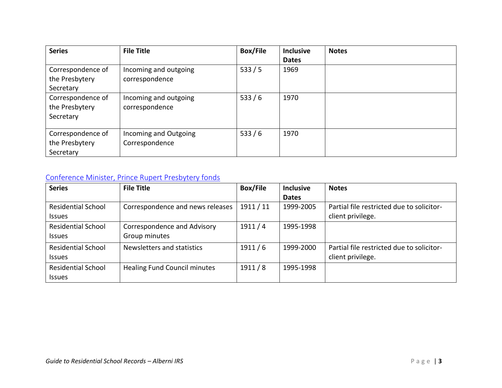| <b>Series</b>     | <b>File Title</b>     | <b>Box/File</b> | <b>Inclusive</b> | <b>Notes</b> |
|-------------------|-----------------------|-----------------|------------------|--------------|
|                   |                       |                 | <b>Dates</b>     |              |
| Correspondence of | Incoming and outgoing | 533/5           | 1969             |              |
| the Presbytery    | correspondence        |                 |                  |              |
| Secretary         |                       |                 |                  |              |
| Correspondence of | Incoming and outgoing | 533/6           | 1970             |              |
| the Presbytery    | correspondence        |                 |                  |              |
| Secretary         |                       |                 |                  |              |
|                   |                       |                 |                  |              |
| Correspondence of | Incoming and Outgoing | 533/6           | 1970             |              |
| the Presbytery    | Correspondence        |                 |                  |              |
| Secretary         |                       |                 |                  |              |

# <span id="page-7-0"></span>[Conference Minister, Prince Rupert Presbytery fonds](https://www.memorybc.ca/conference-minister-prince-rupert-presbytery-fonds)

| <b>Series</b>             | <b>File Title</b>                   | <b>Box/File</b> | <b>Inclusive</b> | <b>Notes</b>                              |
|---------------------------|-------------------------------------|-----------------|------------------|-------------------------------------------|
|                           |                                     |                 | <b>Dates</b>     |                                           |
| <b>Residential School</b> | Correspondence and news releases    | 1911/11         | 1999-2005        | Partial file restricted due to solicitor- |
| <b>Issues</b>             |                                     |                 |                  | client privilege.                         |
| <b>Residential School</b> | Correspondence and Advisory         | 1911/4          | 1995-1998        |                                           |
| <b>Issues</b>             | Group minutes                       |                 |                  |                                           |
| <b>Residential School</b> | Newsletters and statistics          | 1911/6          | 1999-2000        | Partial file restricted due to solicitor- |
| <b>Issues</b>             |                                     |                 |                  | client privilege.                         |
| <b>Residential School</b> | <b>Healing Fund Council minutes</b> | 1911/8          | 1995-1998        |                                           |
| <b>Issues</b>             |                                     |                 |                  |                                           |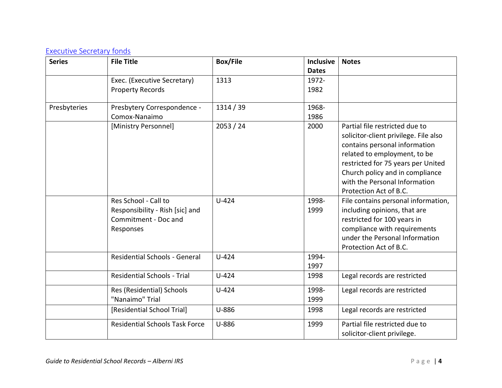## <span id="page-8-0"></span>[Executive Secretary fonds](https://www.memorybc.ca/executive-secretary-fonds)

| <b>Series</b> | <b>File Title</b>                            | <b>Box/File</b> | <b>Inclusive</b> | <b>Notes</b>                          |
|---------------|----------------------------------------------|-----------------|------------------|---------------------------------------|
|               |                                              |                 | <b>Dates</b>     |                                       |
|               | Exec. (Executive Secretary)                  | 1313            | 1972-            |                                       |
|               | <b>Property Records</b>                      |                 | 1982             |                                       |
|               |                                              | 1314 / 39       | 1968-            |                                       |
| Presbyteries  | Presbytery Correspondence -<br>Comox-Nanaimo |                 | 1986             |                                       |
|               | [Ministry Personnel]                         | 2053 / 24       | 2000             | Partial file restricted due to        |
|               |                                              |                 |                  | solicitor-client privilege. File also |
|               |                                              |                 |                  | contains personal information         |
|               |                                              |                 |                  | related to employment, to be          |
|               |                                              |                 |                  | restricted for 75 years per United    |
|               |                                              |                 |                  | Church policy and in compliance       |
|               |                                              |                 |                  | with the Personal Information         |
|               |                                              |                 |                  | Protection Act of B.C.                |
|               | Res School - Call to                         | $U-424$         | 1998-            | File contains personal information,   |
|               | Responsibility - Rish [sic] and              |                 | 1999             | including opinions, that are          |
|               | Commitment - Doc and                         |                 |                  | restricted for 100 years in           |
|               | Responses                                    |                 |                  | compliance with requirements          |
|               |                                              |                 |                  | under the Personal Information        |
|               |                                              |                 |                  | Protection Act of B.C.                |
|               | <b>Residential Schools - General</b>         | $U-424$         | 1994-            |                                       |
|               | <b>Residential Schools - Trial</b>           |                 | 1997             |                                       |
|               |                                              | $U-424$         | 1998             | Legal records are restricted          |
|               | Res (Residential) Schools                    | $U-424$         | 1998-            | Legal records are restricted          |
|               | "Nanaimo" Trial                              |                 | 1999             |                                       |
|               | [Residential School Trial]                   | U-886           | 1998             | Legal records are restricted          |
|               | <b>Residential Schools Task Force</b>        | U-886           | 1999             | Partial file restricted due to        |
|               |                                              |                 |                  | solicitor-client privilege.           |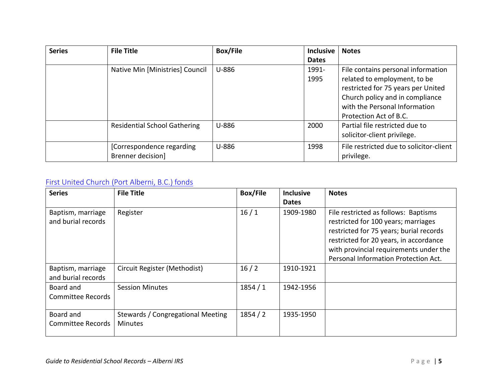| <b>Series</b> | <b>File Title</b>                   | <b>Box/File</b> | <b>Inclusive</b> | <b>Notes</b>                            |
|---------------|-------------------------------------|-----------------|------------------|-----------------------------------------|
|               |                                     |                 | <b>Dates</b>     |                                         |
|               | Native Min [Ministries] Council     | U-886           | 1991-            | File contains personal information      |
|               |                                     |                 | 1995             | related to employment, to be            |
|               |                                     |                 |                  | restricted for 75 years per United      |
|               |                                     |                 |                  | Church policy and in compliance         |
|               |                                     |                 |                  | with the Personal Information           |
|               |                                     |                 |                  | Protection Act of B.C.                  |
|               | <b>Residential School Gathering</b> | U-886           | 2000             | Partial file restricted due to          |
|               |                                     |                 |                  | solicitor-client privilege.             |
|               | [Correspondence regarding           | U-886           | 1998             | File restricted due to solicitor-client |
|               | Brenner decision]                   |                 |                  | privilege.                              |

# <span id="page-9-0"></span>[First United Church \(Port Alberni, B.C.\) fonds](https://www.memorybc.ca/first-united-church-port-alberni-b-c-fonds)

| <b>Series</b>                           | <b>File Title</b>                                   | <b>Box/File</b> | <b>Inclusive</b><br><b>Dates</b> | <b>Notes</b>                                                                                                                                                                                                                                       |
|-----------------------------------------|-----------------------------------------------------|-----------------|----------------------------------|----------------------------------------------------------------------------------------------------------------------------------------------------------------------------------------------------------------------------------------------------|
| Baptism, marriage<br>and burial records | Register                                            | 16/1            | 1909-1980                        | File restricted as follows: Baptisms<br>restricted for 100 years; marriages<br>restricted for 75 years; burial records<br>restricted for 20 years, in accordance<br>with provincial requirements under the<br>Personal Information Protection Act. |
| Baptism, marriage<br>and burial records | Circuit Register (Methodist)                        | 16/2            | 1910-1921                        |                                                                                                                                                                                                                                                    |
| Board and<br><b>Committee Records</b>   | <b>Session Minutes</b>                              | 1854/1          | 1942-1956                        |                                                                                                                                                                                                                                                    |
| Board and<br><b>Committee Records</b>   | Stewards / Congregational Meeting<br><b>Minutes</b> | 1854/2          | 1935-1950                        |                                                                                                                                                                                                                                                    |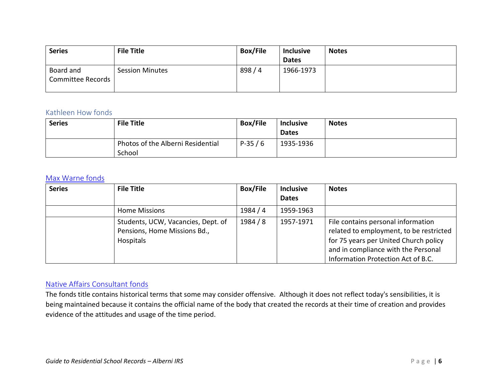| <b>Series</b>                  | <b>File Title</b>      | <b>Box/File</b> | <b>Inclusive</b> | <b>Notes</b> |
|--------------------------------|------------------------|-----------------|------------------|--------------|
|                                |                        |                 | <b>Dates</b>     |              |
| Board and<br>Committee Records | <b>Session Minutes</b> | 898/4           | 1966-1973        |              |
|                                |                        |                 |                  |              |

#### <span id="page-10-0"></span>Kathleen How fonds

| <b>Series</b> | <b>File Title</b>                           | <b>Box/File</b> | <b>Inclusive</b><br><b>Dates</b> | <b>Notes</b> |
|---------------|---------------------------------------------|-----------------|----------------------------------|--------------|
|               | Photos of the Alberni Residential<br>School | $P-35/6$        | 1935-1936                        |              |

#### <span id="page-10-1"></span>[Max Warne fonds](https://www.memorybc.ca/max-warne-fonds)

| <b>Series</b> | <b>File Title</b>                                                               | <b>Box/File</b> | <b>Inclusive</b><br><b>Dates</b> | <b>Notes</b>                                                                                                                                                                                        |
|---------------|---------------------------------------------------------------------------------|-----------------|----------------------------------|-----------------------------------------------------------------------------------------------------------------------------------------------------------------------------------------------------|
|               | <b>Home Missions</b>                                                            | 1984 / 4        | 1959-1963                        |                                                                                                                                                                                                     |
|               | Students, UCW, Vacancies, Dept. of<br>Pensions, Home Missions Bd.,<br>Hospitals | 1984 / 8        | 1957-1971                        | File contains personal information<br>related to employment, to be restricted<br>for 75 years per United Church policy<br>and in compliance with the Personal<br>Information Protection Act of B.C. |

#### <span id="page-10-2"></span>[Native Affairs Consultant fonds](https://www.memorybc.ca/native-affairs-consultant-fonds)

The fonds title contains historical terms that some may consider offensive. Although it does not reflect today's sensibilities, it is being maintained because it contains the official name of the body that created the records at their time of creation and provides evidence of the attitudes and usage of the time period.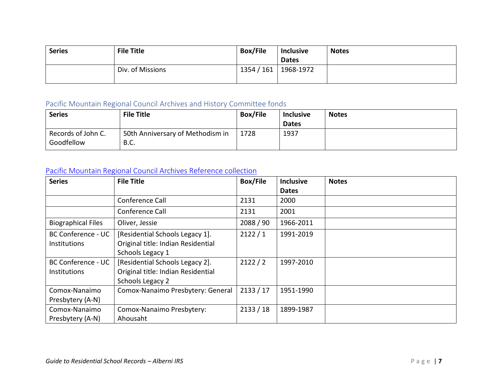| <b>Series</b> | <b>File Title</b> | <b>Box/File</b> | <b>Inclusive</b>          | <b>Notes</b> |
|---------------|-------------------|-----------------|---------------------------|--------------|
|               | Div. of Missions  | 1354 / 161      | <b>Dates</b><br>1968-1972 |              |

# <span id="page-11-0"></span>Pacific Mountain Regional Council Archives and History Committee fonds

| <b>Series</b>                    | <b>File Title</b>                        | <b>Box/File</b> | <b>Inclusive</b> | <b>Notes</b> |
|----------------------------------|------------------------------------------|-----------------|------------------|--------------|
|                                  |                                          |                 | <b>Dates</b>     |              |
| Records of John C.<br>Goodfellow | 50th Anniversary of Methodism in<br>B.C. | 1728            | 1937             |              |

# <span id="page-11-1"></span>[Pacific Mountain Regional Council Archives Reference collection](https://www.memorybc.ca/united-church-of-canada-pacific-mountain-region-archives-reference-collection)

| <b>Series</b>             | <b>File Title</b>                  | <b>Box/File</b> | <b>Inclusive</b> | <b>Notes</b> |
|---------------------------|------------------------------------|-----------------|------------------|--------------|
|                           |                                    |                 | <b>Dates</b>     |              |
|                           | Conference Call                    | 2131            | 2000             |              |
|                           | Conference Call                    | 2131            | 2001             |              |
| <b>Biographical Files</b> | Oliver, Jessie                     | 2088 / 90       | 1966-2011        |              |
| <b>BC Conference - UC</b> | [Residential Schools Legacy 1].    | 2122/1          | 1991-2019        |              |
| Institutions              | Original title: Indian Residential |                 |                  |              |
|                           | Schools Legacy 1                   |                 |                  |              |
| <b>BC Conference - UC</b> | [Residential Schools Legacy 2].    | 2122/2          | 1997-2010        |              |
| Institutions              | Original title: Indian Residential |                 |                  |              |
|                           | Schools Legacy 2                   |                 |                  |              |
| Comox-Nanaimo             | Comox-Nanaimo Presbytery: General  | 2133 / 17       | 1951-1990        |              |
| Presbytery (A-N)          |                                    |                 |                  |              |
| Comox-Nanaimo             | Comox-Nanaimo Presbytery:          | 2133 / 18       | 1899-1987        |              |
| Presbytery (A-N)          | Ahousaht                           |                 |                  |              |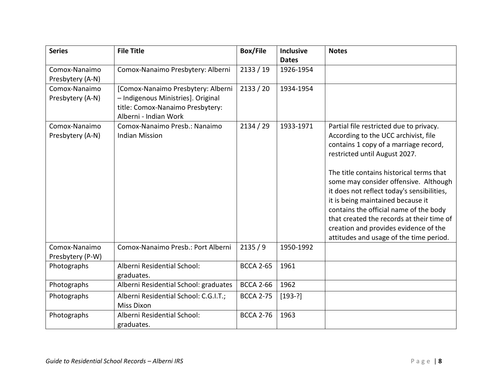| <b>Series</b>                     | <b>File Title</b>                                                                                                                     | <b>Box/File</b>  | <b>Inclusive</b><br><b>Dates</b> | <b>Notes</b>                                                                                                                                                                                                                                                                                                                                                                                                                                                                                                 |
|-----------------------------------|---------------------------------------------------------------------------------------------------------------------------------------|------------------|----------------------------------|--------------------------------------------------------------------------------------------------------------------------------------------------------------------------------------------------------------------------------------------------------------------------------------------------------------------------------------------------------------------------------------------------------------------------------------------------------------------------------------------------------------|
| Comox-Nanaimo<br>Presbytery (A-N) | Comox-Nanaimo Presbytery: Alberni                                                                                                     | 2133 / 19        | 1926-1954                        |                                                                                                                                                                                                                                                                                                                                                                                                                                                                                                              |
| Comox-Nanaimo<br>Presbytery (A-N) | [Comox-Nanaimo Presbytery: Alberni<br>- Indigenous Ministries]. Original<br>title: Comox-Nanaimo Presbytery:<br>Alberni - Indian Work | 2133 / 20        | 1934-1954                        |                                                                                                                                                                                                                                                                                                                                                                                                                                                                                                              |
| Comox-Nanaimo<br>Presbytery (A-N) | Comox-Nanaimo Presb.: Nanaimo<br><b>Indian Mission</b>                                                                                | 2134 / 29        | 1933-1971                        | Partial file restricted due to privacy.<br>According to the UCC archivist, file<br>contains 1 copy of a marriage record,<br>restricted until August 2027.<br>The title contains historical terms that<br>some may consider offensive. Although<br>it does not reflect today's sensibilities,<br>it is being maintained because it<br>contains the official name of the body<br>that created the records at their time of<br>creation and provides evidence of the<br>attitudes and usage of the time period. |
| Comox-Nanaimo<br>Presbytery (P-W) | Comox-Nanaimo Presb.: Port Alberni                                                                                                    | 2135/9           | 1950-1992                        |                                                                                                                                                                                                                                                                                                                                                                                                                                                                                                              |
| Photographs                       | Alberni Residential School:<br>graduates.                                                                                             | <b>BCCA 2-65</b> | 1961                             |                                                                                                                                                                                                                                                                                                                                                                                                                                                                                                              |
| Photographs                       | Alberni Residential School: graduates                                                                                                 | <b>BCCA 2-66</b> | 1962                             |                                                                                                                                                                                                                                                                                                                                                                                                                                                                                                              |
| Photographs                       | Alberni Residential School: C.G.I.T.;<br><b>Miss Dixon</b>                                                                            | <b>BCCA 2-75</b> | $[193-?]$                        |                                                                                                                                                                                                                                                                                                                                                                                                                                                                                                              |
| Photographs                       | Alberni Residential School:<br>graduates.                                                                                             | <b>BCCA 2-76</b> | 1963                             |                                                                                                                                                                                                                                                                                                                                                                                                                                                                                                              |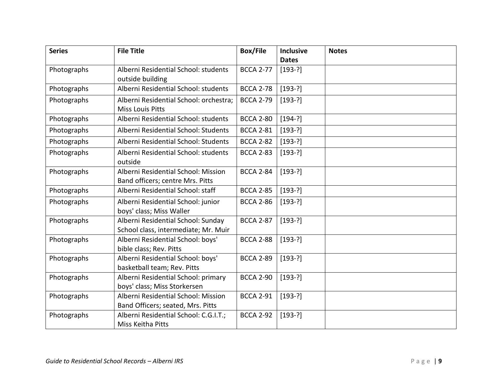| <b>Series</b> | <b>File Title</b>                                                          | <b>Box/File</b>  | Inclusive    | <b>Notes</b> |
|---------------|----------------------------------------------------------------------------|------------------|--------------|--------------|
|               |                                                                            |                  | <b>Dates</b> |              |
| Photographs   | Alberni Residential School: students<br>outside building                   | <b>BCCA 2-77</b> | $[193-?]$    |              |
| Photographs   | Alberni Residential School: students                                       | <b>BCCA 2-78</b> | $[193-?]$    |              |
| Photographs   | Alberni Residential School: orchestra;<br><b>Miss Louis Pitts</b>          | <b>BCCA 2-79</b> | $[193-?]$    |              |
| Photographs   | Alberni Residential School: students                                       | <b>BCCA 2-80</b> | $[194-?]$    |              |
| Photographs   | Alberni Residential School: Students                                       | <b>BCCA 2-81</b> | $[193-?]$    |              |
| Photographs   | Alberni Residential School: Students                                       | <b>BCCA 2-82</b> | $[193-?]$    |              |
| Photographs   | Alberni Residential School: students<br>outside                            | <b>BCCA 2-83</b> | $[193-?]$    |              |
| Photographs   | Alberni Residential School: Mission<br>Band officers; centre Mrs. Pitts    | <b>BCCA 2-84</b> | $[193-?]$    |              |
| Photographs   | Alberni Residential School: staff                                          | <b>BCCA 2-85</b> | $[193-?]$    |              |
| Photographs   | Alberni Residential School: junior<br>boys' class; Miss Waller             | <b>BCCA 2-86</b> | $[193-?]$    |              |
| Photographs   | Alberni Residential School: Sunday<br>School class, intermediate; Mr. Muir | <b>BCCA 2-87</b> | $[193-?]$    |              |
| Photographs   | Alberni Residential School: boys'<br>bible class; Rev. Pitts               | <b>BCCA 2-88</b> | $[193-?]$    |              |
| Photographs   | Alberni Residential School: boys'<br>basketball team; Rev. Pitts           | <b>BCCA 2-89</b> | $[193-?]$    |              |
| Photographs   | Alberni Residential School: primary<br>boys' class; Miss Storkersen        | <b>BCCA 2-90</b> | $[193-?]$    |              |
| Photographs   | Alberni Residential School: Mission<br>Band Officers; seated, Mrs. Pitts   | <b>BCCA 2-91</b> | $[193-?]$    |              |
| Photographs   | Alberni Residential School: C.G.I.T.;<br>Miss Keitha Pitts                 | <b>BCCA 2-92</b> | $[193-?]$    |              |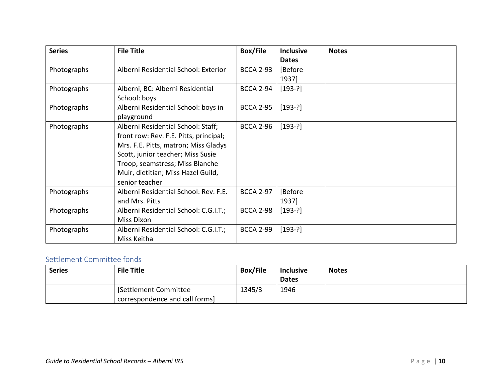| <b>Series</b> | <b>File Title</b>                      | <b>Box/File</b>  | <b>Inclusive</b> | <b>Notes</b> |
|---------------|----------------------------------------|------------------|------------------|--------------|
|               |                                        |                  | <b>Dates</b>     |              |
| Photographs   | Alberni Residential School: Exterior   | <b>BCCA 2-93</b> | [Before          |              |
|               |                                        |                  | 1937]            |              |
| Photographs   | Alberni, BC: Alberni Residential       | <b>BCCA 2-94</b> | $[193-?]$        |              |
|               | School: boys                           |                  |                  |              |
| Photographs   | Alberni Residential School: boys in    | <b>BCCA 2-95</b> | $[193-?]$        |              |
|               | playground                             |                  |                  |              |
| Photographs   | Alberni Residential School: Staff;     | <b>BCCA 2-96</b> | $[193-?]$        |              |
|               | front row: Rev. F.E. Pitts, principal; |                  |                  |              |
|               | Mrs. F.E. Pitts, matron; Miss Gladys   |                  |                  |              |
|               | Scott, junior teacher; Miss Susie      |                  |                  |              |
|               | Troop, seamstress; Miss Blanche        |                  |                  |              |
|               | Muir, dietitian; Miss Hazel Guild,     |                  |                  |              |
|               | senior teacher                         |                  |                  |              |
| Photographs   | Alberni Residential School: Rev. F.E.  | <b>BCCA 2-97</b> | [Before          |              |
|               | and Mrs. Pitts                         |                  | 1937]            |              |
| Photographs   | Alberni Residential School: C.G.I.T.;  | <b>BCCA 2-98</b> | $[193-?]$        |              |
|               | <b>Miss Dixon</b>                      |                  |                  |              |
| Photographs   | Alberni Residential School: C.G.I.T.;  | <b>BCCA 2-99</b> | $[193-?]$        |              |
|               | Miss Keitha                            |                  |                  |              |

### <span id="page-14-0"></span>Settlement Committee fonds

| <b>Series</b> | <b>File Title</b>                                      | <b>Box/File</b> | <b>Inclusive</b><br><b>Dates</b> | <b>Notes</b> |
|---------------|--------------------------------------------------------|-----------------|----------------------------------|--------------|
|               | Settlement Committee<br>correspondence and call forms] | 1345/3          | 1946                             |              |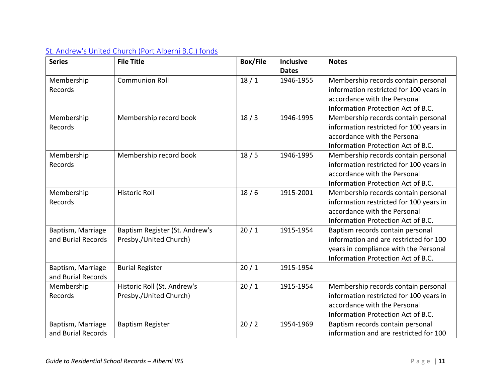| <b>Series</b>      | <b>File Title</b>              | <b>Box/File</b> | <b>Inclusive</b> | <b>Notes</b>                            |
|--------------------|--------------------------------|-----------------|------------------|-----------------------------------------|
|                    |                                |                 | <b>Dates</b>     |                                         |
| Membership         | <b>Communion Roll</b>          | 18/1            | 1946-1955        | Membership records contain personal     |
| Records            |                                |                 |                  | information restricted for 100 years in |
|                    |                                |                 |                  | accordance with the Personal            |
|                    |                                |                 |                  | Information Protection Act of B.C.      |
| Membership         | Membership record book         | 18/3            | 1946-1995        | Membership records contain personal     |
| Records            |                                |                 |                  | information restricted for 100 years in |
|                    |                                |                 |                  | accordance with the Personal            |
|                    |                                |                 |                  | Information Protection Act of B.C.      |
| Membership         | Membership record book         | 18/5            | 1946-1995        | Membership records contain personal     |
| Records            |                                |                 |                  | information restricted for 100 years in |
|                    |                                |                 |                  | accordance with the Personal            |
|                    |                                |                 |                  | Information Protection Act of B.C.      |
| Membership         | <b>Historic Roll</b>           | 18/6            | 1915-2001        | Membership records contain personal     |
| Records            |                                |                 |                  | information restricted for 100 years in |
|                    |                                |                 |                  | accordance with the Personal            |
|                    |                                |                 |                  | Information Protection Act of B.C.      |
| Baptism, Marriage  | Baptism Register (St. Andrew's | 20/1            | 1915-1954        | Baptism records contain personal        |
| and Burial Records | Presby./United Church)         |                 |                  | information and are restricted for 100  |
|                    |                                |                 |                  | years in compliance with the Personal   |
|                    |                                |                 |                  | Information Protection Act of B.C.      |
| Baptism, Marriage  | <b>Burial Register</b>         | 20/1            | 1915-1954        |                                         |
| and Burial Records |                                |                 |                  |                                         |
| Membership         | Historic Roll (St. Andrew's    | 20/1            | 1915-1954        | Membership records contain personal     |
| Records            | Presby./United Church)         |                 |                  | information restricted for 100 years in |
|                    |                                |                 |                  | accordance with the Personal            |
|                    |                                |                 |                  | Information Protection Act of B.C.      |
| Baptism, Marriage  | <b>Baptism Register</b>        | 20/2            | 1954-1969        | Baptism records contain personal        |
| and Burial Records |                                |                 |                  | information and are restricted for 100  |

# <span id="page-15-0"></span>[St. Andrew's United Church \(Port Alberni B.C.\) fonds](https://www.memorybc.ca/st-andrews-united-church-port-alberni-b-c-fonds)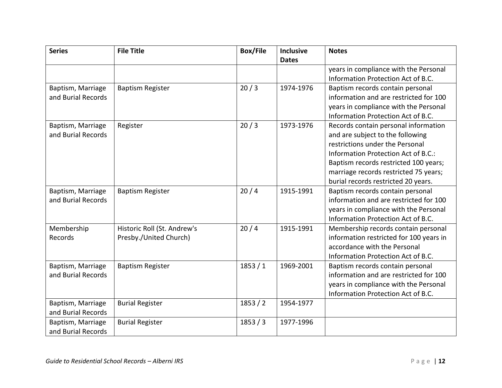| <b>Series</b>      | <b>File Title</b>           | <b>Box/File</b> | <b>Inclusive</b> | <b>Notes</b>                            |
|--------------------|-----------------------------|-----------------|------------------|-----------------------------------------|
|                    |                             |                 | <b>Dates</b>     |                                         |
|                    |                             |                 |                  | years in compliance with the Personal   |
|                    |                             |                 |                  | Information Protection Act of B.C.      |
| Baptism, Marriage  | <b>Baptism Register</b>     | 20/3            | 1974-1976        | Baptism records contain personal        |
| and Burial Records |                             |                 |                  | information and are restricted for 100  |
|                    |                             |                 |                  | years in compliance with the Personal   |
|                    |                             |                 |                  | Information Protection Act of B.C.      |
| Baptism, Marriage  | Register                    | 20/3            | 1973-1976        | Records contain personal information    |
| and Burial Records |                             |                 |                  | and are subject to the following        |
|                    |                             |                 |                  | restrictions under the Personal         |
|                    |                             |                 |                  | Information Protection Act of B.C.:     |
|                    |                             |                 |                  | Baptism records restricted 100 years;   |
|                    |                             |                 |                  | marriage records restricted 75 years;   |
|                    |                             |                 |                  | burial records restricted 20 years.     |
| Baptism, Marriage  | <b>Baptism Register</b>     | 20/4            | 1915-1991        | Baptism records contain personal        |
| and Burial Records |                             |                 |                  | information and are restricted for 100  |
|                    |                             |                 |                  | years in compliance with the Personal   |
|                    |                             |                 |                  | Information Protection Act of B.C.      |
| Membership         | Historic Roll (St. Andrew's | 20/4            | 1915-1991        | Membership records contain personal     |
| Records            | Presby./United Church)      |                 |                  | information restricted for 100 years in |
|                    |                             |                 |                  | accordance with the Personal            |
|                    |                             |                 |                  | Information Protection Act of B.C.      |
| Baptism, Marriage  | <b>Baptism Register</b>     | 1853/1          | 1969-2001        | Baptism records contain personal        |
| and Burial Records |                             |                 |                  | information and are restricted for 100  |
|                    |                             |                 |                  | years in compliance with the Personal   |
|                    |                             |                 |                  | Information Protection Act of B.C.      |
| Baptism, Marriage  | <b>Burial Register</b>      | 1853/2          | 1954-1977        |                                         |
| and Burial Records |                             |                 |                  |                                         |
| Baptism, Marriage  | <b>Burial Register</b>      | 1853 / 3        | 1977-1996        |                                         |
| and Burial Records |                             |                 |                  |                                         |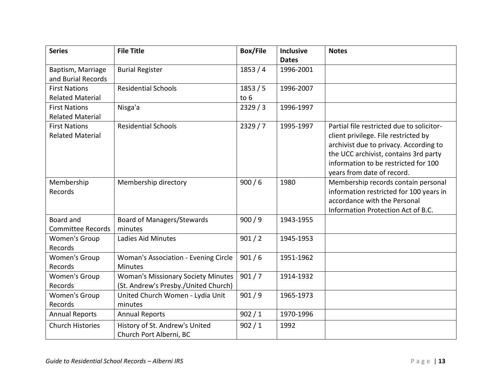| <b>Series</b>            | <b>File Title</b>                           | <b>Box/File</b> | Inclusive    | <b>Notes</b>                              |
|--------------------------|---------------------------------------------|-----------------|--------------|-------------------------------------------|
|                          |                                             |                 | <b>Dates</b> |                                           |
| Baptism, Marriage        | <b>Burial Register</b>                      | 1853/4          | 1996-2001    |                                           |
| and Burial Records       |                                             |                 |              |                                           |
| <b>First Nations</b>     | <b>Residential Schools</b>                  | 1853/5          | 1996-2007    |                                           |
| <b>Related Material</b>  |                                             | to $6$          |              |                                           |
| <b>First Nations</b>     | Nisga'a                                     | 2329/3          | 1996-1997    |                                           |
| <b>Related Material</b>  |                                             |                 |              |                                           |
| <b>First Nations</b>     | <b>Residential Schools</b>                  | 2329/7          | 1995-1997    | Partial file restricted due to solicitor- |
| <b>Related Material</b>  |                                             |                 |              | client privilege. File restricted by      |
|                          |                                             |                 |              | archivist due to privacy. According to    |
|                          |                                             |                 |              | the UCC archivist, contains 3rd party     |
|                          |                                             |                 |              | information to be restricted for 100      |
|                          |                                             |                 |              | years from date of record.                |
| Membership               | Membership directory                        | 900/6           | 1980         | Membership records contain personal       |
| Records                  |                                             |                 |              | information restricted for 100 years in   |
|                          |                                             |                 |              | accordance with the Personal              |
|                          |                                             |                 |              | Information Protection Act of B.C.        |
| Board and                | <b>Board of Managers/Stewards</b>           | 900/9           | 1943-1955    |                                           |
| <b>Committee Records</b> | minutes                                     |                 |              |                                           |
| <b>Women's Group</b>     | Ladies Aid Minutes                          | 901 / 2         | 1945-1953    |                                           |
| Records                  |                                             |                 |              |                                           |
| <b>Women's Group</b>     | <b>Woman's Association - Evening Circle</b> | 901/6           | 1951-1962    |                                           |
| Records                  | <b>Minutes</b>                              |                 |              |                                           |
| <b>Women's Group</b>     | <b>Woman's Missionary Society Minutes</b>   | 901/7           | 1914-1932    |                                           |
| Records                  | (St. Andrew's Presby./United Church)        |                 |              |                                           |
| <b>Women's Group</b>     | United Church Women - Lydia Unit            | 901/9           | 1965-1973    |                                           |
| Records                  | minutes                                     |                 |              |                                           |
| <b>Annual Reports</b>    | <b>Annual Reports</b>                       | 902 / 1         | 1970-1996    |                                           |
| <b>Church Histories</b>  | History of St. Andrew's United              | 902/1           | 1992         |                                           |
|                          | Church Port Alberni, BC                     |                 |              |                                           |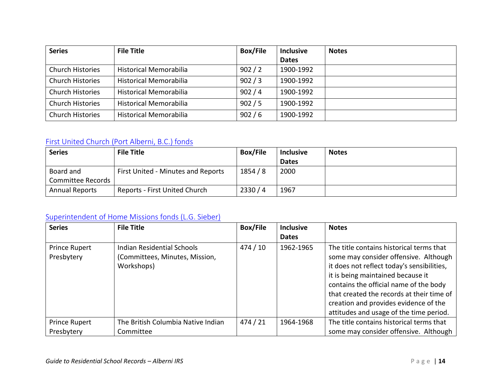| <b>Series</b>           | <b>File Title</b>             | <b>Box/File</b> | <b>Inclusive</b> | <b>Notes</b> |
|-------------------------|-------------------------------|-----------------|------------------|--------------|
|                         |                               |                 | <b>Dates</b>     |              |
| <b>Church Histories</b> | Historical Memorabilia        | 902 / 2         | 1900-1992        |              |
| <b>Church Histories</b> | <b>Historical Memorabilia</b> | 902 / 3         | 1900-1992        |              |
| <b>Church Histories</b> | <b>Historical Memorabilia</b> | 902/4           | 1900-1992        |              |
| <b>Church Histories</b> | <b>Historical Memorabilia</b> | 902/5           | 1900-1992        |              |
| <b>Church Histories</b> | <b>Historical Memorabilia</b> | 902/6           | 1900-1992        |              |

### <span id="page-18-0"></span>[First United Church \(Port Alberni, B.C.\) fonds](https://www.memorybc.ca/first-united-church-port-alberni-b-c-fonds)

| <b>Series</b>            | <b>File Title</b>                  | <b>Box/File</b> | <b>Inclusive</b> | <b>Notes</b> |
|--------------------------|------------------------------------|-----------------|------------------|--------------|
|                          |                                    |                 | <b>Dates</b>     |              |
| Board and                | First United - Minutes and Reports | 1854/8          | 2000             |              |
| <b>Committee Records</b> |                                    |                 |                  |              |
| <b>Annual Reports</b>    | Reports - First United Church      | 2330/4          | 1967             |              |

# <span id="page-18-1"></span>[Superintendent of Home Missions fonds \(L.G. Sieber\)](https://www.memorybc.ca/superintendent-of-home-missions-fonds)

| <b>Series</b>                      | <b>File Title</b>                                                          | <b>Box/File</b> | <b>Inclusive</b><br><b>Dates</b> | <b>Notes</b>                                                                                                                                                                                                                                                                                                                                    |
|------------------------------------|----------------------------------------------------------------------------|-----------------|----------------------------------|-------------------------------------------------------------------------------------------------------------------------------------------------------------------------------------------------------------------------------------------------------------------------------------------------------------------------------------------------|
| <b>Prince Rupert</b><br>Presbytery | Indian Residential Schools<br>(Committees, Minutes, Mission,<br>Workshops) | 474/10          | 1962-1965                        | The title contains historical terms that<br>some may consider offensive. Although<br>it does not reflect today's sensibilities,<br>it is being maintained because it<br>contains the official name of the body<br>that created the records at their time of<br>creation and provides evidence of the<br>attitudes and usage of the time period. |
| <b>Prince Rupert</b>               | The British Columbia Native Indian                                         | 474/21          | 1964-1968                        | The title contains historical terms that                                                                                                                                                                                                                                                                                                        |
| Presbytery                         | Committee                                                                  |                 |                                  | some may consider offensive. Although                                                                                                                                                                                                                                                                                                           |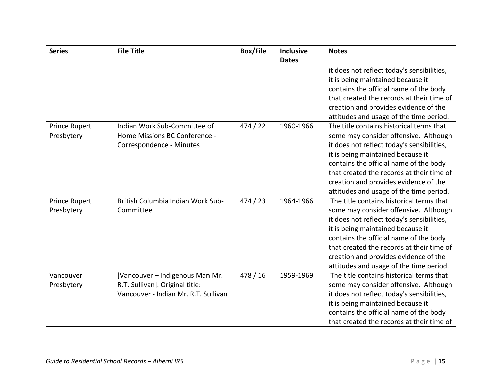| <b>Series</b>               | <b>File Title</b>                                                                                          | <b>Box/File</b> | <b>Inclusive</b> | <b>Notes</b>                                                                                                                                                                                                                                                                                                                                    |
|-----------------------------|------------------------------------------------------------------------------------------------------------|-----------------|------------------|-------------------------------------------------------------------------------------------------------------------------------------------------------------------------------------------------------------------------------------------------------------------------------------------------------------------------------------------------|
|                             |                                                                                                            |                 | <b>Dates</b>     |                                                                                                                                                                                                                                                                                                                                                 |
| <b>Prince Rupert</b>        | Indian Work Sub-Committee of                                                                               | 474/22          | 1960-1966        | it does not reflect today's sensibilities,<br>it is being maintained because it<br>contains the official name of the body<br>that created the records at their time of<br>creation and provides evidence of the<br>attitudes and usage of the time period.<br>The title contains historical terms that                                          |
| Presbytery                  | Home Missions BC Conference -<br>Correspondence - Minutes                                                  |                 |                  | some may consider offensive. Although<br>it does not reflect today's sensibilities,<br>it is being maintained because it<br>contains the official name of the body<br>that created the records at their time of<br>creation and provides evidence of the<br>attitudes and usage of the time period.                                             |
| Prince Rupert<br>Presbytery | British Columbia Indian Work Sub-<br>Committee                                                             | 474/23          | 1964-1966        | The title contains historical terms that<br>some may consider offensive. Although<br>it does not reflect today's sensibilities,<br>it is being maintained because it<br>contains the official name of the body<br>that created the records at their time of<br>creation and provides evidence of the<br>attitudes and usage of the time period. |
| Vancouver<br>Presbytery     | [Vancouver - Indigenous Man Mr.<br>R.T. Sullivan]. Original title:<br>Vancouver - Indian Mr. R.T. Sullivan | 478/16          | 1959-1969        | The title contains historical terms that<br>some may consider offensive. Although<br>it does not reflect today's sensibilities,<br>it is being maintained because it<br>contains the official name of the body<br>that created the records at their time of                                                                                     |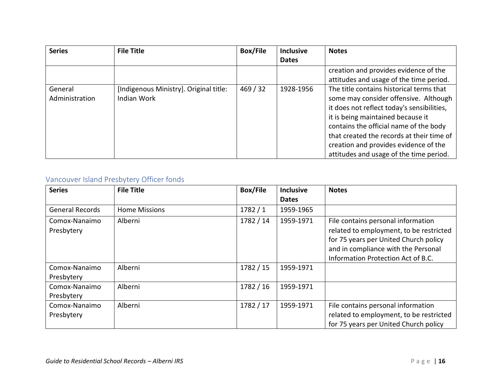| <b>Series</b>  | <b>File Title</b>                      | <b>Box/File</b> | <b>Inclusive</b> | <b>Notes</b>                               |
|----------------|----------------------------------------|-----------------|------------------|--------------------------------------------|
|                |                                        |                 | <b>Dates</b>     |                                            |
|                |                                        |                 |                  | creation and provides evidence of the      |
|                |                                        |                 |                  | attitudes and usage of the time period.    |
| General        | [Indigenous Ministry]. Original title: | 469/32          | 1928-1956        | The title contains historical terms that   |
| Administration | Indian Work                            |                 |                  | some may consider offensive. Although      |
|                |                                        |                 |                  | it does not reflect today's sensibilities, |
|                |                                        |                 |                  | it is being maintained because it          |
|                |                                        |                 |                  | contains the official name of the body     |
|                |                                        |                 |                  | that created the records at their time of  |
|                |                                        |                 |                  | creation and provides evidence of the      |
|                |                                        |                 |                  | attitudes and usage of the time period.    |

# <span id="page-20-0"></span>Vancouver Island Presbytery Officer fonds

| <b>Series</b>               | <b>File Title</b>    | <b>Box/File</b> | <b>Inclusive</b> | <b>Notes</b>                                                                                                                                                                                        |
|-----------------------------|----------------------|-----------------|------------------|-----------------------------------------------------------------------------------------------------------------------------------------------------------------------------------------------------|
|                             |                      |                 | <b>Dates</b>     |                                                                                                                                                                                                     |
| <b>General Records</b>      | <b>Home Missions</b> | 1782/1          | 1959-1965        |                                                                                                                                                                                                     |
| Comox-Nanaimo<br>Presbytery | Alberni              | 1782 / 14       | 1959-1971        | File contains personal information<br>related to employment, to be restricted<br>for 75 years per United Church policy<br>and in compliance with the Personal<br>Information Protection Act of B.C. |
| Comox-Nanaimo<br>Presbytery | Alberni              | 1782 / 15       | 1959-1971        |                                                                                                                                                                                                     |
| Comox-Nanaimo<br>Presbytery | Alberni              | 1782 / 16       | 1959-1971        |                                                                                                                                                                                                     |
| Comox-Nanaimo<br>Presbytery | Alberni              | 1782 / 17       | 1959-1971        | File contains personal information<br>related to employment, to be restricted<br>for 75 years per United Church policy                                                                              |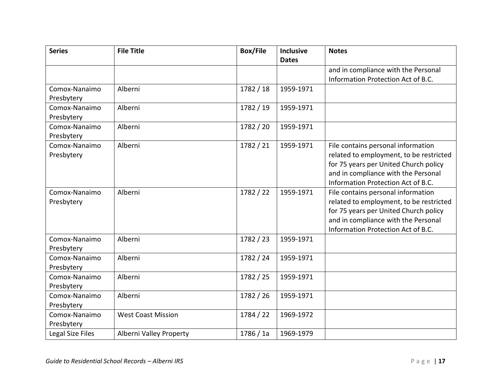| <b>Series</b>               | <b>File Title</b>         | <b>Box/File</b> | <b>Inclusive</b><br><b>Dates</b> | <b>Notes</b>                                                                                                                                                                                        |
|-----------------------------|---------------------------|-----------------|----------------------------------|-----------------------------------------------------------------------------------------------------------------------------------------------------------------------------------------------------|
|                             |                           |                 |                                  | and in compliance with the Personal<br>Information Protection Act of B.C.                                                                                                                           |
| Comox-Nanaimo<br>Presbytery | Alberni                   | 1782/18         | 1959-1971                        |                                                                                                                                                                                                     |
| Comox-Nanaimo<br>Presbytery | Alberni                   | 1782 / 19       | 1959-1971                        |                                                                                                                                                                                                     |
| Comox-Nanaimo<br>Presbytery | Alberni                   | 1782 / 20       | 1959-1971                        |                                                                                                                                                                                                     |
| Comox-Nanaimo<br>Presbytery | Alberni                   | 1782 / 21       | 1959-1971                        | File contains personal information<br>related to employment, to be restricted<br>for 75 years per United Church policy<br>and in compliance with the Personal<br>Information Protection Act of B.C. |
| Comox-Nanaimo<br>Presbytery | Alberni                   | 1782 / 22       | 1959-1971                        | File contains personal information<br>related to employment, to be restricted<br>for 75 years per United Church policy<br>and in compliance with the Personal<br>Information Protection Act of B.C. |
| Comox-Nanaimo<br>Presbytery | Alberni                   | 1782 / 23       | 1959-1971                        |                                                                                                                                                                                                     |
| Comox-Nanaimo<br>Presbytery | Alberni                   | 1782 / 24       | 1959-1971                        |                                                                                                                                                                                                     |
| Comox-Nanaimo<br>Presbytery | Alberni                   | 1782 / 25       | 1959-1971                        |                                                                                                                                                                                                     |
| Comox-Nanaimo<br>Presbytery | Alberni                   | 1782 / 26       | 1959-1971                        |                                                                                                                                                                                                     |
| Comox-Nanaimo<br>Presbytery | <b>West Coast Mission</b> | 1784 / 22       | 1969-1972                        |                                                                                                                                                                                                     |
| Legal Size Files            | Alberni Valley Property   | 1786 / 1a       | 1969-1979                        |                                                                                                                                                                                                     |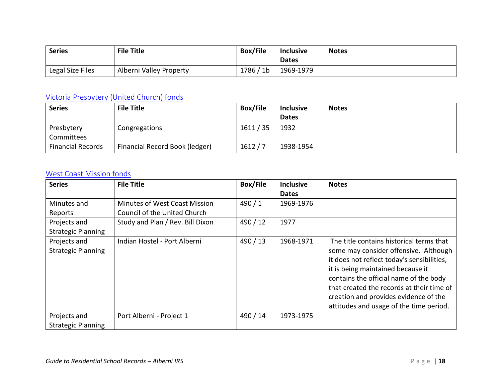| <b>Series</b>    | <b>File Title</b>       | <b>Box/File</b> | <b>Inclusive</b><br><b>Dates</b> | <b>Notes</b> |
|------------------|-------------------------|-----------------|----------------------------------|--------------|
| Legal Size Files | Alberni Valley Property | 1786 / 1b       | 1969-1979                        |              |

# <span id="page-22-0"></span>[Victoria Presbytery \(United Church\) fonds](https://www.memorybc.ca/victoria-presbytery-united-church-fonds)

| <b>Series</b>            | <b>File Title</b>              | <b>Box/File</b> | <b>Inclusive</b> | <b>Notes</b> |
|--------------------------|--------------------------------|-----------------|------------------|--------------|
|                          |                                |                 | <b>Dates</b>     |              |
| Presbytery               | Congregations                  | 1611/35         | 1932             |              |
| Committees               |                                |                 |                  |              |
| <b>Financial Records</b> | Financial Record Book (ledger) | 1612/7          | 1938-1954        |              |

#### <span id="page-22-1"></span>[West Coast Mission fonds](https://www.memorybc.ca/west-coast-mission-fonds-2)

| <b>Series</b>             | <b>File Title</b>                | <b>Box/File</b> | <b>Inclusive</b> | <b>Notes</b>                               |
|---------------------------|----------------------------------|-----------------|------------------|--------------------------------------------|
|                           |                                  |                 | <b>Dates</b>     |                                            |
| Minutes and               | Minutes of West Coast Mission    | 490/1           | 1969-1976        |                                            |
| Reports                   | Council of the United Church     |                 |                  |                                            |
| Projects and              | Study and Plan / Rev. Bill Dixon | 490 / 12        | 1977             |                                            |
| <b>Strategic Planning</b> |                                  |                 |                  |                                            |
| Projects and              | Indian Hostel - Port Alberni     | 490/13          | 1968-1971        | The title contains historical terms that   |
| <b>Strategic Planning</b> |                                  |                 |                  | some may consider offensive. Although      |
|                           |                                  |                 |                  | it does not reflect today's sensibilities, |
|                           |                                  |                 |                  | it is being maintained because it          |
|                           |                                  |                 |                  | contains the official name of the body     |
|                           |                                  |                 |                  | that created the records at their time of  |
|                           |                                  |                 |                  | creation and provides evidence of the      |
|                           |                                  |                 |                  | attitudes and usage of the time period.    |
| Projects and              | Port Alberni - Project 1         | 490 / 14        | 1973-1975        |                                            |
| <b>Strategic Planning</b> |                                  |                 |                  |                                            |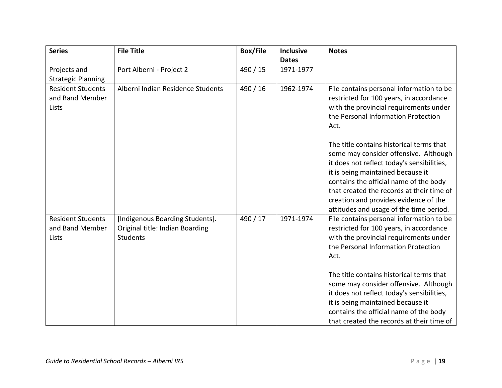| <b>Series</b>                                        | <b>File Title</b>                                                              | <b>Box/File</b> | <b>Inclusive</b><br><b>Dates</b> | <b>Notes</b>                                                                                                                                                                                                                                                                                                                                    |
|------------------------------------------------------|--------------------------------------------------------------------------------|-----------------|----------------------------------|-------------------------------------------------------------------------------------------------------------------------------------------------------------------------------------------------------------------------------------------------------------------------------------------------------------------------------------------------|
| Projects and<br><b>Strategic Planning</b>            | Port Alberni - Project 2                                                       | 490 / 15        | 1971-1977                        |                                                                                                                                                                                                                                                                                                                                                 |
| <b>Resident Students</b><br>and Band Member<br>Lists | Alberni Indian Residence Students                                              | 490 / 16        | 1962-1974                        | File contains personal information to be<br>restricted for 100 years, in accordance<br>with the provincial requirements under<br>the Personal Information Protection<br>Act.                                                                                                                                                                    |
|                                                      |                                                                                |                 |                                  | The title contains historical terms that<br>some may consider offensive. Although<br>it does not reflect today's sensibilities,<br>it is being maintained because it<br>contains the official name of the body<br>that created the records at their time of<br>creation and provides evidence of the<br>attitudes and usage of the time period. |
| <b>Resident Students</b><br>and Band Member<br>Lists | [Indigenous Boarding Students].<br>Original title: Indian Boarding<br>Students | 490 / 17        | 1971-1974                        | File contains personal information to be<br>restricted for 100 years, in accordance<br>with the provincial requirements under<br>the Personal Information Protection<br>Act.                                                                                                                                                                    |
|                                                      |                                                                                |                 |                                  | The title contains historical terms that<br>some may consider offensive. Although<br>it does not reflect today's sensibilities,<br>it is being maintained because it<br>contains the official name of the body<br>that created the records at their time of                                                                                     |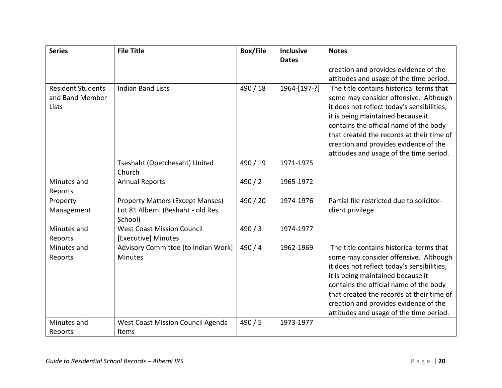| <b>Series</b>            | <b>File Title</b>                             | <b>Box/File</b> | <b>Inclusive</b> | <b>Notes</b>                               |
|--------------------------|-----------------------------------------------|-----------------|------------------|--------------------------------------------|
|                          |                                               |                 | <b>Dates</b>     |                                            |
|                          |                                               |                 |                  | creation and provides evidence of the      |
|                          |                                               |                 |                  | attitudes and usage of the time period.    |
| <b>Resident Students</b> | <b>Indian Band Lists</b>                      | 490 / 18        | 1964-[197-?]     | The title contains historical terms that   |
| and Band Member          |                                               |                 |                  | some may consider offensive. Although      |
| Lists                    |                                               |                 |                  | it does not reflect today's sensibilities, |
|                          |                                               |                 |                  | it is being maintained because it          |
|                          |                                               |                 |                  | contains the official name of the body     |
|                          |                                               |                 |                  | that created the records at their time of  |
|                          |                                               |                 |                  | creation and provides evidence of the      |
|                          |                                               |                 |                  | attitudes and usage of the time period.    |
|                          | Tseshaht (Opetchesaht) United                 | 490 / 19        | 1971-1975        |                                            |
|                          | Church                                        |                 |                  |                                            |
| Minutes and              | <b>Annual Reports</b>                         | 490/2           | 1965-1972        |                                            |
| Reports                  |                                               |                 |                  |                                            |
| Property                 | <b>Property Matters (Except Manses)</b>       | 490 / 20        | 1974-1976        | Partial file restricted due to solicitor-  |
| Management               | Lot 81 Alberni (Beshaht - old Res.<br>School) |                 |                  | client privilege.                          |
| Minutes and              | <b>West Coast Mission Council</b>             | 490/3           | 1974-1977        |                                            |
| Reports                  | [Executive] Minutes                           |                 |                  |                                            |
| Minutes and              | Advisory Committee [to Indian Work]           | 490/4           | 1962-1969        | The title contains historical terms that   |
| Reports                  | <b>Minutes</b>                                |                 |                  | some may consider offensive. Although      |
|                          |                                               |                 |                  | it does not reflect today's sensibilities, |
|                          |                                               |                 |                  | it is being maintained because it          |
|                          |                                               |                 |                  | contains the official name of the body     |
|                          |                                               |                 |                  | that created the records at their time of  |
|                          |                                               |                 |                  | creation and provides evidence of the      |
|                          |                                               |                 |                  | attitudes and usage of the time period.    |
| Minutes and              | West Coast Mission Council Agenda             | 490/5           | 1973-1977        |                                            |
| Reports                  | Items                                         |                 |                  |                                            |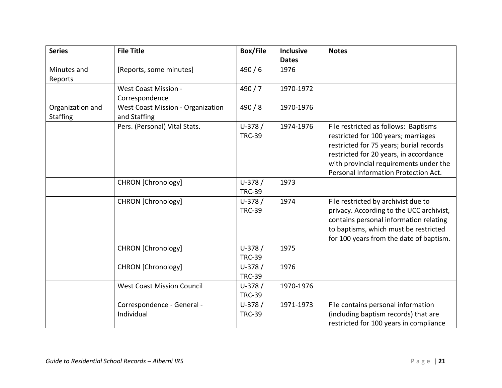| <b>Series</b>                       | <b>File Title</b>                                        | <b>Box/File</b>           | <b>Inclusive</b><br><b>Dates</b> | <b>Notes</b>                                                                                                                                                                                                                                       |
|-------------------------------------|----------------------------------------------------------|---------------------------|----------------------------------|----------------------------------------------------------------------------------------------------------------------------------------------------------------------------------------------------------------------------------------------------|
| Minutes and<br>Reports              | [Reports, some minutes]                                  | 490/6                     | 1976                             |                                                                                                                                                                                                                                                    |
|                                     | <b>West Coast Mission -</b><br>Correspondence            | 490/7                     | 1970-1972                        |                                                                                                                                                                                                                                                    |
| Organization and<br><b>Staffing</b> | <b>West Coast Mission - Organization</b><br>and Staffing | 490/8                     | 1970-1976                        |                                                                                                                                                                                                                                                    |
|                                     | Pers. (Personal) Vital Stats.                            | $U-378/$<br><b>TRC-39</b> | 1974-1976                        | File restricted as follows: Baptisms<br>restricted for 100 years; marriages<br>restricted for 75 years; burial records<br>restricted for 20 years, in accordance<br>with provincial requirements under the<br>Personal Information Protection Act. |
|                                     | <b>CHRON</b> [Chronology]                                | $U-378/$<br><b>TRC-39</b> | 1973                             |                                                                                                                                                                                                                                                    |
|                                     | <b>CHRON</b> [Chronology]                                | $U-378/$<br><b>TRC-39</b> | 1974                             | File restricted by archivist due to<br>privacy. According to the UCC archivist,<br>contains personal information relating<br>to baptisms, which must be restricted<br>for 100 years from the date of baptism.                                      |
|                                     | <b>CHRON</b> [Chronology]                                | $U-378/$<br><b>TRC-39</b> | 1975                             |                                                                                                                                                                                                                                                    |
|                                     | <b>CHRON</b> [Chronology]                                | $U-378/$<br><b>TRC-39</b> | 1976                             |                                                                                                                                                                                                                                                    |
|                                     | <b>West Coast Mission Council</b>                        | $U-378/$<br><b>TRC-39</b> | 1970-1976                        |                                                                                                                                                                                                                                                    |
|                                     | Correspondence - General -<br>Individual                 | $U-378/$<br><b>TRC-39</b> | 1971-1973                        | File contains personal information<br>(including baptism records) that are<br>restricted for 100 years in compliance                                                                                                                               |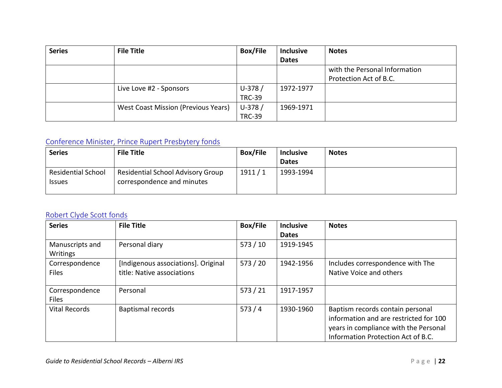| <b>Series</b> | <b>File Title</b>                          | <b>Box/File</b> | <b>Inclusive</b> | <b>Notes</b>                  |
|---------------|--------------------------------------------|-----------------|------------------|-------------------------------|
|               |                                            |                 | <b>Dates</b>     |                               |
|               |                                            |                 |                  | with the Personal Information |
|               |                                            |                 |                  | Protection Act of B.C.        |
|               | Live Love #2 - Sponsors                    | $U-378/$        | 1972-1977        |                               |
|               |                                            | <b>TRC-39</b>   |                  |                               |
|               | <b>West Coast Mission (Previous Years)</b> | $U-378/$        | 1969-1971        |                               |
|               |                                            | <b>TRC-39</b>   |                  |                               |

# <span id="page-26-0"></span>[Conference Minister, Prince Rupert Presbytery fonds](https://www.memorybc.ca/conference-minister-prince-rupert-presbytery-fonds)

| <b>Series</b>             | <b>File Title</b>                        | <b>Box/File</b> | <b>Inclusive</b> | <b>Notes</b> |
|---------------------------|------------------------------------------|-----------------|------------------|--------------|
|                           |                                          |                 | <b>Dates</b>     |              |
| <b>Residential School</b> | <b>Residential School Advisory Group</b> | 1911/1          | 1993-1994        |              |
| <b>Issues</b>             | correspondence and minutes               |                 |                  |              |
|                           |                                          |                 |                  |              |

### <span id="page-26-1"></span>[Robert Clyde Scott fonds](https://www.memorybc.ca/robert-clyde-scott-fonds-2)

| <b>Series</b>   | <b>File Title</b>                   | <b>Box/File</b> | <b>Inclusive</b> | <b>Notes</b>                           |
|-----------------|-------------------------------------|-----------------|------------------|----------------------------------------|
|                 |                                     |                 | <b>Dates</b>     |                                        |
| Manuscripts and | Personal diary                      | 573/10          | 1919-1945        |                                        |
| Writings        |                                     |                 |                  |                                        |
| Correspondence  | [Indigenous associations]. Original | 573/20          | 1942-1956        | Includes correspondence with The       |
| <b>Files</b>    | title: Native associations          |                 |                  | Native Voice and others                |
|                 |                                     |                 |                  |                                        |
| Correspondence  | Personal                            | 573/21          | 1917-1957        |                                        |
| <b>Files</b>    |                                     |                 |                  |                                        |
| Vital Records   | <b>Baptismal records</b>            | 573/4           | 1930-1960        | Baptism records contain personal       |
|                 |                                     |                 |                  | information and are restricted for 100 |
|                 |                                     |                 |                  | years in compliance with the Personal  |
|                 |                                     |                 |                  | Information Protection Act of B.C.     |